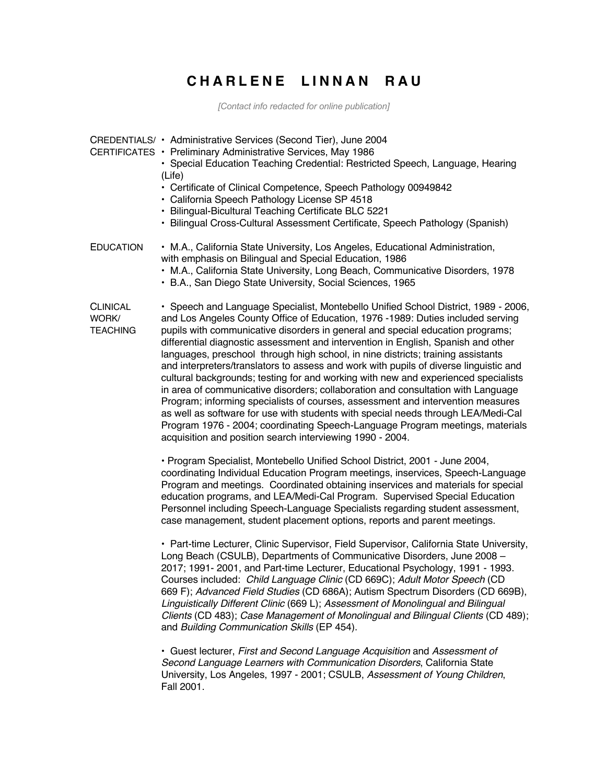## **CHARLENE L I NNAN RAU**

*[Contact info redacted for online publication]*

CREDENTIALS/ • Administrative Services (Second Tier), June 2004 CERTIFICATES • Preliminary Administrative Services, May 1986 • Special Education Teaching Credential: Restricted Speech, Language, Hearing (Life) • Certificate of Clinical Competence, Speech Pathology 00949842 • California Speech Pathology License SP 4518 • Bilingual-Bicultural Teaching Certificate BLC 5221 • Bilingual Cross-Cultural Assessment Certificate, Speech Pathology (Spanish) EDUCATION • M.A., California State University, Los Angeles, Educational Administration, with emphasis on Bilingual and Special Education, 1986 • M.A., California State University, Long Beach, Communicative Disorders, 1978 • B.A., San Diego State University, Social Sciences, 1965 CLINICAL • Speech and Language Specialist, Montebello Unified School District, 1989 - 2006, WORK/ and Los Angeles County Office of Education, 1976 -1989: Duties included serving TEACHING pupils with communicative disorders in general and special education programs; differential diagnostic assessment and intervention in English, Spanish and other languages, preschool through high school, in nine districts; training assistants and interpreters/translators to assess and work with pupils of diverse linguistic and cultural backgrounds; testing for and working with new and experienced specialists in area of communicative disorders; collaboration and consultation with Language Program; informing specialists of courses, assessment and intervention measures as well as software for use with students with special needs through LEA/Medi-Cal Program 1976 - 2004; coordinating Speech-Language Program meetings, materials acquisition and position search interviewing 1990 - 2004. • Program Specialist, Montebello Unified School District, 2001 - June 2004, coordinating Individual Education Program meetings, inservices, Speech-Language Program and meetings. Coordinated obtaining inservices and materials for special education programs, and LEA/Medi-Cal Program. Supervised Special Education Personnel including Speech-Language Specialists regarding student assessment, case management, student placement options, reports and parent meetings. • Part-time Lecturer, Clinic Supervisor, Field Supervisor, California State University, Long Beach (CSULB), Departments of Communicative Disorders, June 2008 – 2017; 1991- 2001, and Part-time Lecturer, Educational Psychology, 1991 - 1993. Courses included: *Child Language Clinic* (CD 669C); *Adult Motor Speech* (CD 669 F); *Advanced Field Studies* (CD 686A); Autism Spectrum Disorders (CD 669B), *Linguistically Different Clinic* (669 L); *Assessment of Monolingual and Bilingual Clients* (CD 483); *Case Management of Monolingual and Bilingual Clients* (CD 489); and *Building Communication Skills* (EP 454). • Guest lecturer, *First and Second Language Acquisition* and *Assessment of Second Language Learners with Communication Disorders*, California State University, Los Angeles, 1997 - 2001; CSULB, *Assessment of Young Children*, Fall 2001.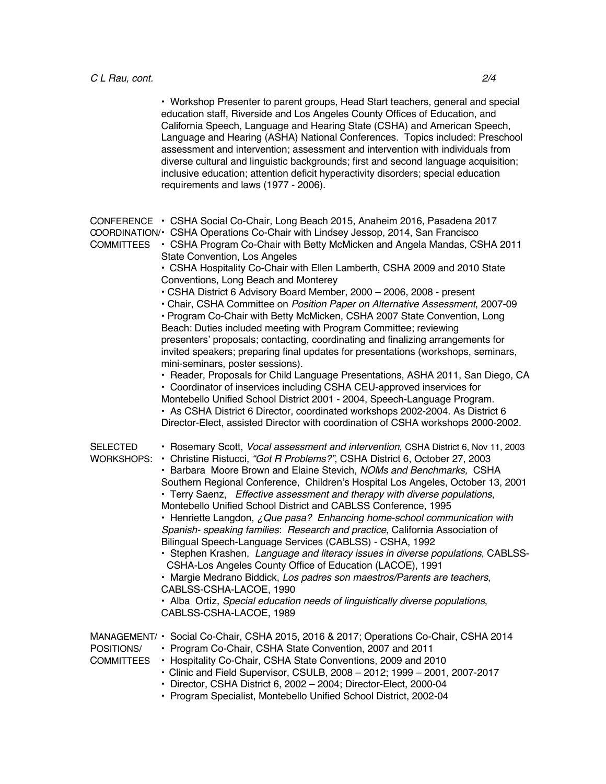• Workshop Presenter to parent groups, Head Start teachers, general and special education staff, Riverside and Los Angeles County Offices of Education, and California Speech, Language and Hearing State (CSHA) and American Speech, Language and Hearing (ASHA) National Conferences. Topics included: Preschool assessment and intervention; assessment and intervention with individuals from diverse cultural and linguistic backgrounds; first and second language acquisition; inclusive education; attention deficit hyperactivity disorders; special education requirements and laws (1977 - 2006).

CONFERENCE • CSHA Social Co-Chair, Long Beach 2015, Anaheim 2016, Pasadena 2017 COORDINATION/• CSHA Operations Co-Chair with Lindsey Jessop, 2014, San Francisco COMMITTEES • CSHA Program Co-Chair with Betty McMicken and Angela Mandas, CSHA 2011 State Convention, Los Angeles • CSHA Hospitality Co-Chair with Ellen Lamberth, CSHA 2009 and 2010 State Conventions, Long Beach and Monterey • CSHA District 6 Advisory Board Member, 2000 – 2006, 2008 - present • Chair, CSHA Committee on *Position Paper on Alternative Assessment*, 2007-09 • Program Co-Chair with Betty McMicken, CSHA 2007 State Convention, Long Beach: Duties included meeting with Program Committee; reviewing presenters' proposals; contacting, coordinating and finalizing arrangements for invited speakers; preparing final updates for presentations (workshops, seminars, mini-seminars, poster sessions). • Reader, Proposals for Child Language Presentations, ASHA 2011, San Diego, CA • Coordinator of inservices including CSHA CEU-approved inservices for Montebello Unified School District 2001 - 2004, Speech-Language Program. • As CSHA District 6 Director, coordinated workshops 2002-2004. As District 6 Director-Elect, assisted Director with coordination of CSHA workshops 2000-2002. SELECTED • Rosemary Scott, *Vocal assessment and intervention*, CSHA District 6, Nov 11, 2003 WORKSHOPS: • Christine Ristucci, *"Got R Problems?"*, CSHA District 6, October 27, 2003 • Barbara Moore Brown and Elaine Stevich, *NOMs and Benchmarks,* CSHA Southern Regional Conference, Children's Hospital Los Angeles, October 13, 2001 • Terry Saenz, *Effective assessment and therapy with diverse populations*, Montebello Unified School District and CABLSS Conference, 1995 • Henriette Langdon, *¿Que pasa? Enhancing home-school communication with Spanish- speaking families*: *Research and practice*, California Association of Bilingual Speech-Language Services (CABLSS) - CSHA, 1992 • Stephen Krashen, *Language and literacy issues in diverse populations*, CABLSS- CSHA-Los Angeles County Office of Education (LACOE), 1991 • Margie Medrano Biddick, *Los padres son maestros/Parents are teachers*, CABLSS-CSHA-LACOE, 1990 • Alba Ortíz, *Special education needs of linguistically diverse populations*, CABLSS-CSHA-LACOE, 1989 MANAGEMENT/ • Social Co-Chair, CSHA 2015, 2016 & 2017; Operations Co-Chair, CSHA 2014 POSITIONS/ • Program Co-Chair, CSHA State Convention, 2007 and 2011 COMMITTEES • Hospitality Co-Chair, CSHA State Conventions, 2009 and 2010 • Clinic and Field Supervisor, CSULB, 2008 – 2012; 1999 – 2001, 2007-2017 • Director, CSHA District 6, 2002 – 2004; Director-Elect, 2000-04

• Program Specialist, Montebello Unified School District, 2002-04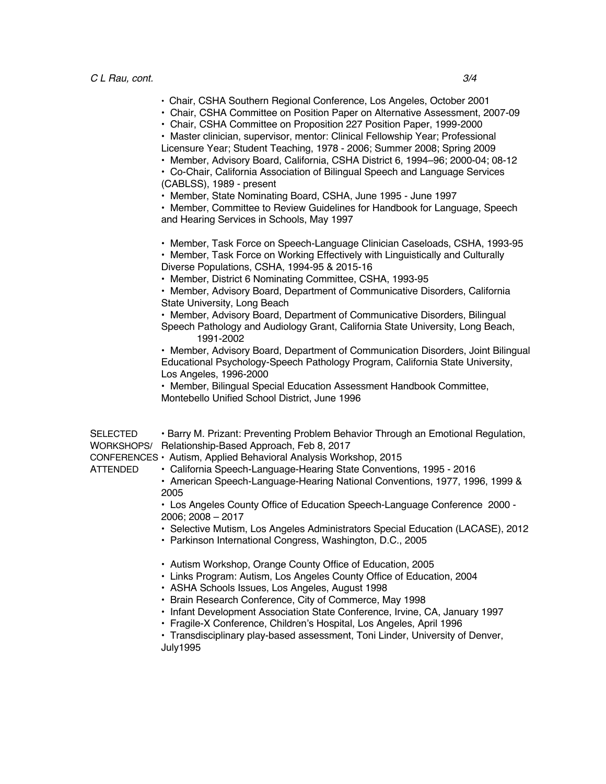- Chair, CSHA Southern Regional Conference, Los Angeles, October 2001
- Chair, CSHA Committee on Position Paper on Alternative Assessment, 2007-09
- Chair, CSHA Committee on Proposition 227 Position Paper, 1999-2000
- Master clinician, supervisor, mentor: Clinical Fellowship Year; Professional Licensure Year; Student Teaching, 1978 - 2006; Summer 2008; Spring 2009
- Member, Advisory Board, California, CSHA District 6, 1994–96; 2000-04; 08-12

• Co-Chair, California Association of Bilingual Speech and Language Services (CABLSS), 1989 - present

- Member, State Nominating Board, CSHA, June 1995 June 1997
- Member, Committee to Review Guidelines for Handbook for Language, Speech and Hearing Services in Schools, May 1997
- Member, Task Force on Speech-Language Clinician Caseloads, CSHA, 1993-95
- Member, Task Force on Working Effectively with Linguistically and Culturally Diverse Populations, CSHA, 1994-95 & 2015-16
- Member, District 6 Nominating Committee, CSHA, 1993-95
- Member, Advisory Board, Department of Communicative Disorders, California State University, Long Beach
- Member, Advisory Board, Department of Communicative Disorders, Bilingual Speech Pathology and Audiology Grant, California State University, Long Beach, 1991-2002

• Member, Advisory Board, Department of Communication Disorders, Joint Bilingual Educational Psychology-Speech Pathology Program, California State University, Los Angeles, 1996-2000

• Member, Bilingual Special Education Assessment Handbook Committee, Montebello Unified School District, June 1996

| <b>SELECTED</b> | • Barry M. Prizant: Preventing Problem Behavior Through an Emotional Regulation, |
|-----------------|----------------------------------------------------------------------------------|
|                 | WORKSHOPS/ Relationship-Based Approach, Feb 8, 2017                              |

- CONFERENCES Autism, Applied Behavioral Analysis Workshop, 2015
- ATTENDED California Speech-Language-Hearing State Conventions, 1995 2016
	- American Speech-Language-Hearing National Conventions, 1977, 1996, 1999 & 2005

• Los Angeles County Office of Education Speech-Language Conference 2000 - 2006; 2008 – 2017

- Selective Mutism, Los Angeles Administrators Special Education (LACASE), 2012
- Parkinson International Congress, Washington, D.C., 2005
- Autism Workshop, Orange County Office of Education, 2005
- Links Program: Autism, Los Angeles County Office of Education, 2004
- ASHA Schools Issues, Los Angeles, August 1998
- Brain Research Conference, City of Commerce, May 1998
- Infant Development Association State Conference, Irvine, CA, January 1997
- Fragile-X Conference, Children's Hospital, Los Angeles, April 1996

• Transdisciplinary play-based assessment, Toni Linder, University of Denver, July1995